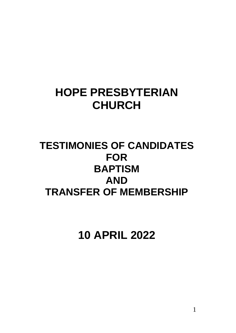## **HOPE PRESBYTERIAN CHURCH**

### **TESTIMONIES OF CANDIDATES FOR BAPTISM AND TRANSFER OF MEMBERSHIP**

**10 APRIL 2022**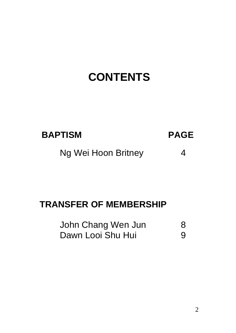# **CONTENTS**

| <b>BAPTISM</b> | <b>PAGE</b> |
|----------------|-------------|
|                |             |

Ng Wei Hoon Britney 4

### **TRANSFER OF MEMBERSHIP**

| John Chang Wen Jun | 8 |
|--------------------|---|
| Dawn Looi Shu Hui  | 9 |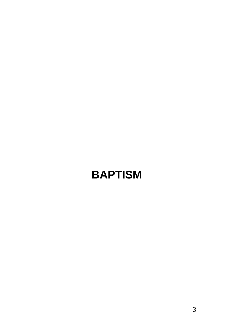# **BAPTISM**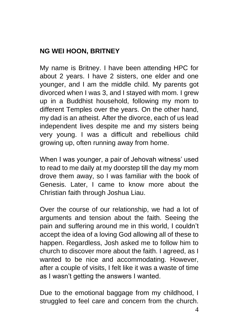### **NG WEI HOON, BRITNEY**

My name is Britney. I have been attending HPC for about 2 years. I have 2 sisters, one elder and one younger, and I am the middle child. My parents got divorced when I was 3, and I stayed with mom. I grew up in a Buddhist household, following my mom to different Temples over the years. On the other hand, my dad is an atheist. After the divorce, each of us lead independent lives despite me and my sisters being very young. I was a difficult and rebellious child growing up, often running away from home.

When I was younger, a pair of Jehovah witness' used to read to me daily at my doorstep till the day my mom drove them away, so I was familiar with the book of Genesis. Later, I came to know more about the Christian faith through Joshua Liau.

Over the course of our relationship, we had a lot of arguments and tension about the faith. Seeing the pain and suffering around me in this world, I couldn't accept the idea of a loving God allowing all of these to happen. Regardless, Josh asked me to follow him to church to discover more about the faith. I agreed, as I wanted to be nice and accommodating. However, after a couple of visits, I felt like it was a waste of time as I wasn't getting the answers I wanted.

Due to the emotional baggage from my childhood, I struggled to feel care and concern from the church.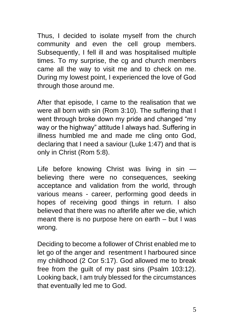Thus, I decided to isolate myself from the church community and even the cell group members. Subsequently, I fell ill and was hospitalised multiple times. To my surprise, the cg and church members came all the way to visit me and to check on me. During my lowest point, I experienced the love of God through those around me.

After that episode, I came to the realisation that we were all born with sin (Rom 3:10). The suffering that I went through broke down my pride and changed "my way or the highway" attitude I always had. Suffering in illness humbled me and made me cling onto God, declaring that I need a saviour (Luke 1:47) and that is only in Christ (Rom 5:8).

Life before knowing Christ was living in sin believing there were no consequences, seeking acceptance and validation from the world, through various means - career, performing good deeds in hopes of receiving good things in return. I also believed that there was no afterlife after we die, which meant there is no purpose here on earth – but I was wrong.

Deciding to become a follower of Christ enabled me to let go of the anger and resentment I harboured since my childhood (2 Cor 5:17). God allowed me to break free from the guilt of my past sins (Psalm 103:12). Looking back, I am truly blessed for the circumstances that eventually led me to God.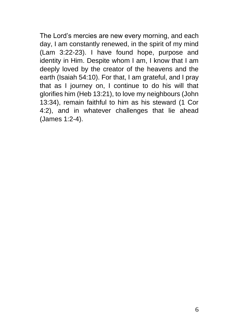The Lord's mercies are new every morning, and each day, I am constantly renewed, in the spirit of my mind (Lam 3:22-23). I have found hope, purpose and identity in Him. Despite whom I am, I know that I am deeply loved by the creator of the heavens and the earth (Isaiah 54:10). For that, I am grateful, and I pray that as I journey on, I continue to do his will that glorifies him (Heb 13:21), to love my neighbours (John 13:34), remain faithful to him as his steward (1 Cor 4:2), and in whatever challenges that lie ahead (James 1:2-4).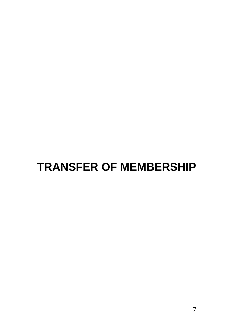# **TRANSFER OF MEMBERSHIP**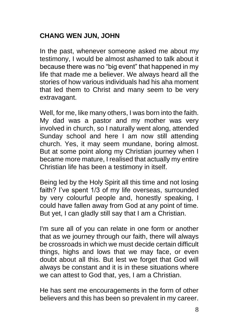### **CHANG WEN JUN, JOHN**

In the past, whenever someone asked me about my testimony, I would be almost ashamed to talk about it because there was no "big event" that happened in my life that made me a believer. We always heard all the stories of how various individuals had his aha moment that led them to Christ and many seem to be very extravagant.

Well, for me, like many others, I was born into the faith. My dad was a pastor and my mother was very involved in church, so I naturally went along, attended Sunday school and here I am now still attending church. Yes, it may seem mundane, boring almost. But at some point along my Christian journey when I became more mature, I realised that actually my entire Christian life has been a testimony in itself.

Being led by the Holy Spirit all this time and not losing faith? I've spent 1/3 of my life overseas, surrounded by very colourful people and, honestly speaking, I could have fallen away from God at any point of time. But yet, I can gladly still say that I am a Christian.

I'm sure all of you can relate in one form or another that as we journey through our faith, there will always be crossroads in which we must decide certain difficult things, highs and lows that we may face, or even doubt about all this. But lest we forget that God will always be constant and it is in these situations where we can attest to God that, yes, I am a Christian.

He has sent me encouragements in the form of other believers and this has been so prevalent in my career.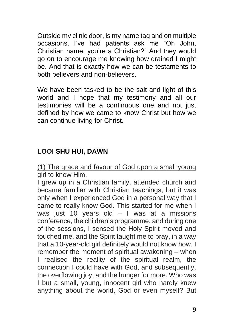Outside my clinic door, is my name tag and on multiple occasions, I've had patients ask me "Oh John, Christian name, you're a Christian?" And they would go on to encourage me knowing how drained I might be. And that is exactly how we can be testaments to both believers and non-believers.

We have been tasked to be the salt and light of this world and I hope that my testimony and all our testimonies will be a continuous one and not just defined by how we came to know Christ but how we can continue living for Christ.

### **LOOI SHU HUI, DAWN**

(1) The grace and favour of God upon a small young girl to know Him.

I grew up in a Christian family, attended church and became familiar with Christian teachings, but it was only when I experienced God in a personal way that I came to really know God. This started for me when I was just 10 years old  $-1$  was at a missions conference, the children's programme, and during one of the sessions, I sensed the Holy Spirit moved and touched me, and the Spirit taught me to pray, in a way that a 10-year-old girl definitely would not know how. I remember the moment of spiritual awakening – when I realised the reality of the spiritual realm, the connection I could have with God, and subsequently, the overflowing joy, and the hunger for more. Who was I but a small, young, innocent girl who hardly knew anything about the world, God or even myself? But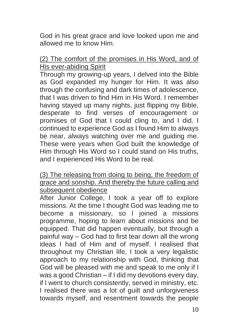God in his great grace and love looked upon me and allowed me to know Him.

#### (2) The comfort of the promises in His Word, and of His ever-abiding Spirit

Through my growing-up years, I delved into the Bible as God expanded my hunger for Him. It was also through the confusing and dark times of adolescence, that I was driven to find Him in His Word. I remember having stayed up many nights, just flipping my Bible, desperate to find verses of encouragement or promises of God that I could cling to, and I did. I continued to experience God as I found Him to always be near, always watching over me and guiding me. These were years when God built the knowledge of Him through His Word so I could stand on His truths, and I experienced His Word to be real.

#### (3) The releasing from doing to being, the freedom of grace and sonship. And thereby the future calling and subsequent obedience

After Junior College, I took a year off to explore missions. At the time I thought God was leading me to become a missionary, so I joined a missions programme, hoping to learn about missions and be equipped. That did happen eventually, but through a painful way – God had to first tear down all the wrong ideas I had of Him and of myself. I realised that throughout my Christian life, I took a very legalistic approach to my relationship with God, thinking that God will be pleased with me and speak to me only if I was a good Christian – if I did my devotions every day, if I went to church consistently, served in ministry, etc. I realised there was a lot of guilt and unforgiveness towards myself, and resentment towards the people